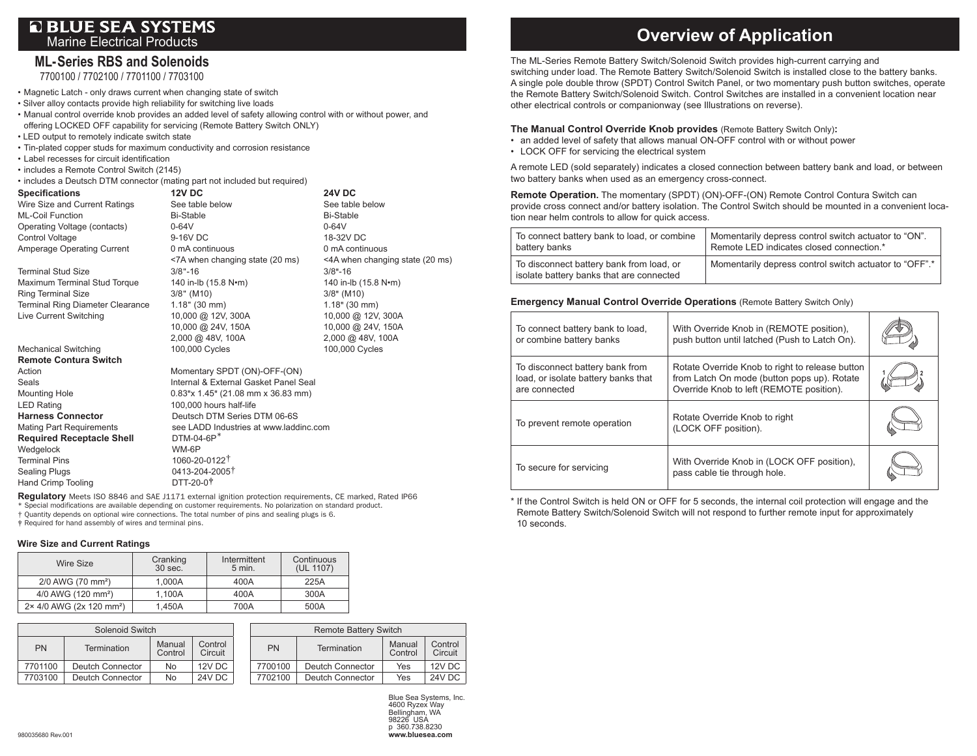# **OBLUE SEA SYSTEMS** Marine Electrical Products

## **ML- Series RBS and Solenoids**

7700100 / 7702100 / 7701100 / 7703100

• Magnetic Latch - only draws current when changing state of switch

• Silver alloy contacts provide high reliability for switching live loads

• Manual control override knob provides an added level of safety allowing control with or without power, and offering LOCKED OFF capability for servicing (Remote Battery Switch ONLY)

- LED output to remotely indicate switch state
- Tin-plated copper studs for maximum conductivity and corrosion resistance
- Label recesses for circuit identification
- includes a Remote Control Switch (2145)
- includes a Deutsch DTM connector (mating part not included but required)

| <b>Specifications</b>                   | <b>12V DC</b>                          | <b>24V DC</b>                   |
|-----------------------------------------|----------------------------------------|---------------------------------|
| Wire Size and Current Ratings           | See table below                        | See table below                 |
| <b>ML-Coil Function</b>                 | <b>Bi-Stable</b>                       | <b>Bi-Stable</b>                |
| Operating Voltage (contacts)            | $0-64V$                                | $0-64V$                         |
| Control Voltage                         | 9-16V DC                               | 18-32V DC                       |
| Amperage Operating Current              | 0 mA continuous                        | 0 mA continuous                 |
|                                         | <7A when changing state (20 ms)        | <4A when changing state (20 ms) |
| <b>Terminal Stud Size</b>               | $3/8$ "-16                             | $3/8 - 16$                      |
| Maximum Terminal Stud Torque            | 140 in-lb (15.8 N•m)                   | 140 in-lb (15.8 N•m)            |
| <b>Ring Terminal Size</b>               | $3/8"$ (M10)                           | $3/8"$ (M10)                    |
| <b>Terminal Ring Diameter Clearance</b> | $1.18"$ (30 mm)                        | $1.18$ " (30 mm)                |
| <b>Live Current Switching</b>           | 10,000 @ 12V, 300A                     | 10,000 @ 12V, 300A              |
|                                         | 10,000 @ 24V, 150A                     | 10,000 @ 24V, 150A              |
|                                         | 2,000 @ 48V, 100A                      | 2,000 @ 48V, 100A               |
| <b>Mechanical Switching</b>             | 100,000 Cycles                         | 100,000 Cycles                  |
| <b>Remote Contura Switch</b>            |                                        |                                 |
| Action                                  | Momentary SPDT (ON)-OFF-(ON)           |                                 |
| Seals                                   | Internal & External Gasket Panel Seal  |                                 |
| <b>Mounting Hole</b>                    | $0.83$ "x 1.45" (21.08 mm x 36.83 mm)  |                                 |
| <b>LED Rating</b>                       | 100,000 hours half-life                |                                 |
| <b>Harness Connector</b>                | Deutsch DTM Series DTM 06-6S           |                                 |
| <b>Mating Part Requirements</b>         | see LADD Industries at www.laddinc.com |                                 |
| <b>Required Receptacle Shell</b>        | $DTM-04-6P*$                           |                                 |
| Wedgelock                               | WM-6P                                  |                                 |
| <b>Terminal Pins</b>                    | 1060-20-0122 <sup>†</sup>              |                                 |
| <b>Sealing Plugs</b>                    | 0413-204-2005 <sup>†</sup>             |                                 |
| <b>Hand Crimp Tooling</b>               | DTT-20-0 <sup>†</sup>                  |                                 |

**Regulatory** Meets ISO 8846 and SAE J1171 external ignition protection requirements, CE marked, Rated IP66 \* Special modifications are available depending on customer requirements. No polarization on standard product. † Quantity depends on optional wire connections. The total number of pins and sealing plugs is 6.

‡ Required for hand assembly of wires and terminal pins.

#### **Wire Size and Current Ratings**

| Wire Size                            | Cranking<br>30 sec. | Intermittent<br>5 min. | Continuous<br>(UL 1107) |
|--------------------------------------|---------------------|------------------------|-------------------------|
| 2/0 AWG (70 mm <sup>2</sup> )        | 1.000A              | 400A                   | 225A                    |
| 4/0 AWG (120 mm <sup>2</sup> )       | 1.100A              | 400A                   | 300A                    |
| 2× 4/0 AWG (2x 120 mm <sup>2</sup> ) | 1.450A              | 700A                   | 500A                    |

|         | Solenoid Switch    |                   |                    |           | <b>Remote Battery Switch</b> |                   |                    |
|---------|--------------------|-------------------|--------------------|-----------|------------------------------|-------------------|--------------------|
| PN      | <b>Termination</b> | Manual<br>Control | Control<br>Circuit | <b>PN</b> | Termination                  | Manual<br>Control | Control<br>Circuit |
| 7701100 | Deutch Connector   | No                | 12V DC             | 7700100   | Deutch Connector             | Yes               | 12V DC             |
| 7703100 | Deutch Connector   | No                | 24V DC             | 7702100   | Deutch Connector             | Yes               | <b>24V DC</b>      |

Blue Sea Systems, Inc. 4600 Ryzex Way Bellingham, WA 98226 USA p 360.738.8230 980035680 Rev.001 **www.bluesea.com**

# **Overview of Application**

The ML-Series Remote Battery Switch/Solenoid Switch provides high-current carrying and switching under load. The Remote Battery Switch/Solenoid Switch is installed close to the battery banks. A single pole double throw (SPDT) Control Switch Panel, or two momentary push button switches, operate the Remote Battery Switch/Solenoid Switch. Control Switches are installed in a convenient location near other electrical controls or companionway (see Illustrations on reverse).

### **The Manual Control Override Knob provides** (Remote Battery Switch Only)**:**

- an added level of safety that allows manual ON-OFF control with or without power
- LOCK OFF for servicing the electrical system

A remote LED (sold separately) indicates a closed connection between battery bank and load, or between two battery banks when used as an emergency cross-connect.

**Remote Operation.** The momentary (SPDT) (ON)-OFF-(ON) Remote Control Contura Switch can provide cross connect and/or battery isolation. The Control Switch should be mounted in a convenient location near helm controls to allow for quick access.

| To connect battery bank to load, or combine                                          | Momentarily depress control switch actuator to "ON".   |
|--------------------------------------------------------------------------------------|--------------------------------------------------------|
| battery banks                                                                        | Remote LED indicates closed connection.*               |
| To disconnect battery bank from load, or<br>isolate battery banks that are connected | Momentarily depress control switch actuator to "OFF".* |

#### **Emergency Manual Control Override Operations** (Remote Battery Switch Only)

| To connect battery bank to load,<br>or combine battery banks                            | With Override Knob in (REMOTE position),<br>push button until latched (Push to Latch On).                                                  |  |
|-----------------------------------------------------------------------------------------|--------------------------------------------------------------------------------------------------------------------------------------------|--|
| To disconnect battery bank from<br>load, or isolate battery banks that<br>are connected | Rotate Override Knob to right to release button<br>from Latch On mode (button pops up). Rotate<br>Override Knob to left (REMOTE position). |  |
| To prevent remote operation                                                             | Rotate Override Knob to right<br>(LOCK OFF position).                                                                                      |  |
| To secure for servicing                                                                 | With Override Knob in (LOCK OFF position),<br>pass cable tie through hole.                                                                 |  |

\* If the Control Switch is held ON or OFF for 5 seconds, the internal coil protection will engage and the Remote Battery Switch/Solenoid Switch will not respond to further remote input for approximately 10 seconds.